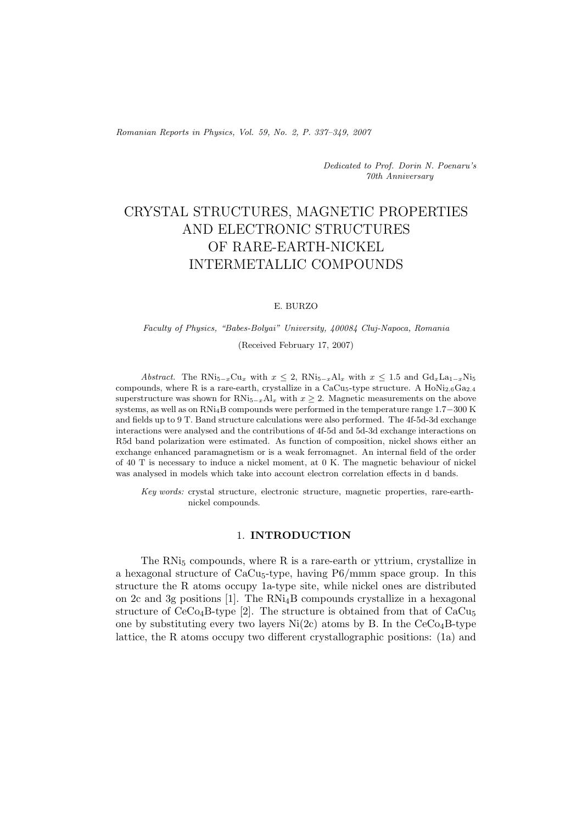*Romanian Reports in Physics, Vol. 59, No. 2, P. 337–349, 2007*

*Dedicated to Prof. Dorin N. Poenaru's 70th Anniversary*

# CRYSTAL STRUCTURES, MAGNETIC PROPERTIES AND ELECTRONIC STRUCTURES OF RARE-EARTH-NICKEL INTERMETALLIC COMPOUNDS

#### E. BURZO

## *Faculty of Physics, "Babes-Bolyai" University, 400084 Cluj-Napoca, Romania* (Received February 17, 2007)

*Abstract.* The RNi<sub>5</sub><sup>*-*</sup>*x*Cu<sub>*x*</sub> with  $x \leq 2$ , RNi<sub>5</sub><sup>-</sup><sub>*x*</sub>Al<sub>*x*</sub> with  $x \leq 1.5$  and  $Gd_xLa_{1-x}Ni_5$ compounds, where R is a rare-earth, crystallize in a CaCu<sub>5</sub>-type structure. A HoNi<sub>2.6</sub>Ga<sub>2.4</sub> superstructure was shown for RNi<sub>5−*x*</sub>Al<sub>*x*</sub> with  $x \geq 2$ . Magnetic measurements on the above systems, as well as on RNi4B compounds were performed in the temperature range 1*.*7−300 K and fields up to 9 T. Band structure calculations were also performed. The 4f-5d-3d exchange interactions were analysed and the contributions of 4f-5d and 5d-3d exchange interactions on R5d band polarization were estimated. As function of composition, nickel shows either an exchange enhanced paramagnetism or is a weak ferromagnet. An internal field of the order of 40 T is necessary to induce a nickel moment, at 0 K. The magnetic behaviour of nickel was analysed in models which take into account electron correlation effects in d bands.

*Key words:* crystal structure, electronic structure, magnetic properties, rare-earthnickel compounds.

#### 1. **INTRODUCTION**

The  $RNi<sub>5</sub>$  compounds, where  $R$  is a rare-earth or yttrium, crystallize in a hexagonal structure of  $CaCu<sub>5</sub>$ -type, having  $P6/mmm$  space group. In this structure the R atoms occupy 1a-type site, while nickel ones are distributed on 2c and 3g positions [1]. The RNi4B compounds crystallize in a hexagonal structure of  $CeCo<sub>4</sub>B$ -type [2]. The structure is obtained from that of  $CaCu<sub>5</sub>$ one by substituting every two layers  $Ni(2c)$  atoms by B. In the  $CeCo<sub>4</sub>B$ -type lattice, the R atoms occupy two different crystallographic positions: (1a) and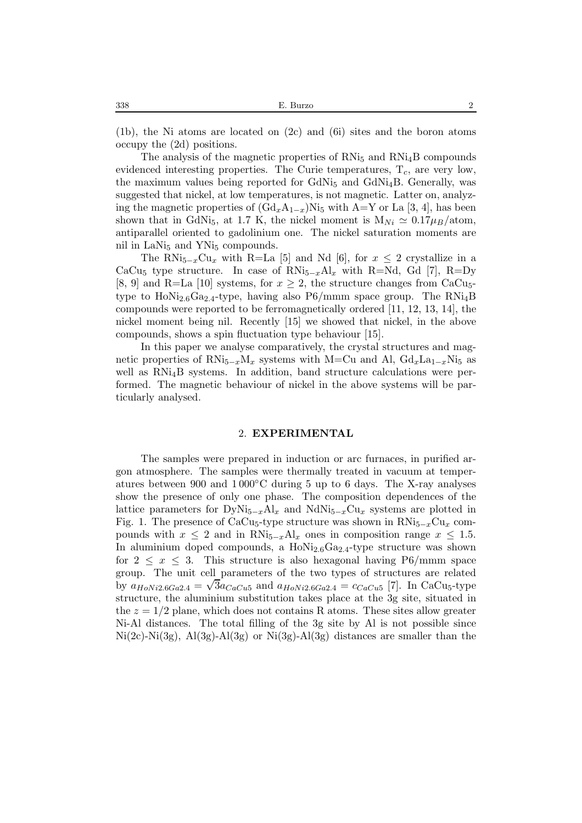$(1b)$ , the Ni atoms are located on  $(2c)$  and  $(6i)$  sites and the boron atoms occupy the (2d) positions.

The analysis of the magnetic properties of  $RNi<sub>5</sub>$  and  $RNi<sub>4</sub>B$  compounds evidenced interesting properties. The Curie temperatures, T*c*, are very low, the maximum values being reported for  $GdNi<sub>5</sub>$  and  $GdNi<sub>4</sub>B$ . Generally, was suggested that nickel, at low temperatures, is not magnetic. Latter on, analyzing the magnetic properties of  $(\text{Gd}_xA_{1-x})$ Ni<sub>5</sub> with A=Y or La [3, 4], has been shown that in GdNi<sub>5</sub>, at 1.7 K, the nickel moment is  $M_{Ni} \approx 0.17 \mu_B/\text{atom}$ , antiparallel oriented to gadolinium one. The nickel saturation moments are nil in LaNi<sub>5</sub> and YNi<sub>5</sub> compounds.

The RNi<sub>5−*x*</sub>Cu<sub>*x*</sub> with R=La [5] and Nd [6], for  $x \leq 2$  crystallize in a CaCu<sub>5</sub> type structure. In case of  $RN_{5-x}Al_x$  with R=Nd, Gd [7], R=Dy [8, 9] and R=La [10] systems, for  $x \geq 2$ , the structure changes from CaCu<sub>5</sub>type to  $Hol$ <sup>1</sup><sub>2.6</sub>Ga<sub>2.4</sub>-type, having also  $P6/mmm$  space group. The  $RNi<sub>4</sub>B$ compounds were reported to be ferromagnetically ordered [11, 12, 13, 14], the nickel moment being nil. Recently [15] we showed that nickel, in the above compounds, shows a spin fluctuation type behaviour [15].

In this paper we analyse comparatively, the crystal structures and magnetic properties of RNi<sub>5−*x*</sub>M<sub>*x*</sub> systems with M=Cu and Al,  $Gd_xLa_{1-x}Ni_5$  as well as RNi4B systems. In addition, band structure calculations were performed. The magnetic behaviour of nickel in the above systems will be particularly analysed.

#### 2. **EXPERIMENTAL**

The samples were prepared in induction or arc furnaces, in purified argon atmosphere. The samples were thermally treated in vacuum at temperatures between 900 and  $1000\degree$ C during 5 up to 6 days. The X-ray analyses show the presence of only one phase. The composition dependences of the lattice parameters for  $DyNi_{5-x}Al_x$  and  $NdNi_{5-x}Cu_x$  systems are plotted in Fig. 1. The presence of CaCu<sub>5</sub>-type structure was shown in RNi<sub>5−*x*</sub>Cu<sub>*x*</sub> compounds with  $x \leq 2$  and in RNi<sub>5−*x*</sub>Al<sub>*x*</sub> ones in composition range  $x \leq 1.5$ . In aluminium doped compounds, a  $HoNi<sub>2.6</sub>Ga<sub>2.4</sub>$ -type structure was shown for  $2 \leq x \leq 3$ . This structure is also hexagonal having P6/mmm space group. The unit cell parameters of the two types of structures are related by  $a_{HoNi2.6Ga2.4} = \sqrt{3}a_{CaCu5}$  and  $a_{HoNi2.6Ga2.4} = c_{CaCu5}$  [7]. In CaCu<sub>5</sub>-type structure, the aluminium substitution takes place at the 3g site, situated in the  $z = 1/2$  plane, which does not contains R atoms. These sites allow greater Ni-Al distances. The total filling of the 3g site by Al is not possible since  $Ni(2c)-Ni(3g)$ ,  $Al(3g)-Al(3g)$  or  $Ni(3g)-Al(3g)$  distances are smaller than the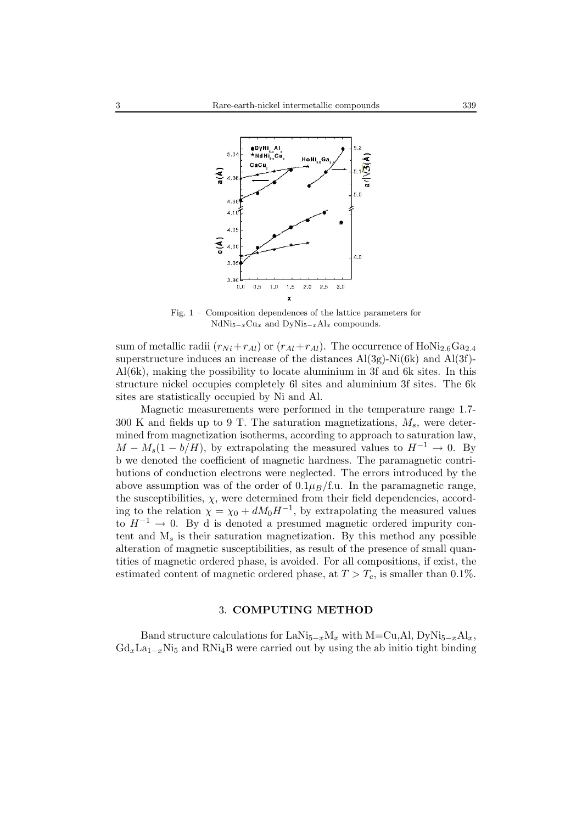

Fig. 1 – Composition dependences of the lattice parameters for NdNi<sup>5</sup>*−<sup>x</sup>*Cu*<sup>x</sup>* and DyNi<sup>5</sup>*−<sup>x</sup>*Al*<sup>x</sup>* compounds.

sum of metallic radii  $(r_{Ni}+r_{Al})$  or  $(r_{Al}+r_{Al})$ . The occurrence of HoNi<sub>2.6</sub>Ga<sub>2.4</sub> superstructure induces an increase of the distances  $Al(3g)$ -Ni(6k) and  $Al(3f)$ -Al(6k), making the possibility to locate aluminium in 3f and 6k sites. In this structure nickel occupies completely 6l sites and aluminium 3f sites. The 6k sites are statistically occupied by Ni and Al.

Magnetic measurements were performed in the temperature range 1.7- 300 K and fields up to 9 T. The saturation magnetizations, M*s*, were determined from magnetization isotherms, according to approach to saturation law,  $M - M_s(1 - b/H)$ , by extrapolating the measured values to  $H^{-1} \rightarrow 0$ . By b we denoted the coefficient of magnetic hardness. The paramagnetic contributions of conduction electrons were neglected. The errors introduced by the above assumption was of the order of  $0.1\mu_B/\text{f.u.}$  In the paramagnetic range, the susceptibilities,  $\chi$ , were determined from their field dependencies, according to the relation  $\chi = \chi_0 + dM_0H^{-1}$ , by extrapolating the measured values to  $H^{-1} \rightarrow 0$ . By d is denoted a presumed magnetic ordered impurity content and M*s* is their saturation magnetization. By this method any possible alteration of magnetic susceptibilities, as result of the presence of small quantities of magnetic ordered phase, is avoided. For all compositions, if exist, the estimated content of magnetic ordered phase, at  $T > T_c$ , is smaller than 0.1%.

#### 3. **COMPUTING METHOD**

Band structure calculations for LaNi<sub>5−*x*</sub>M<sub>*x*</sub> with M=Cu,Al, DyNi<sub>5−*x*</sub>Al<sub>*x*</sub>,  $Gd_xLa_{1-x}Ni_5$  and RNi<sub>4</sub>B were carried out by using the ab initio tight binding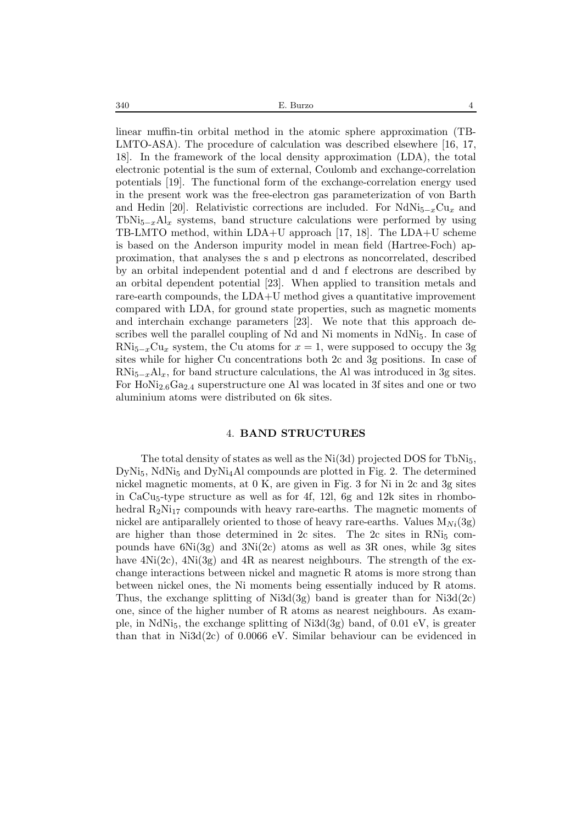linear muffin-tin orbital method in the atomic sphere approximation (TB-LMTO-ASA). The procedure of calculation was described elsewhere [16, 17, 18]. In the framework of the local density approximation (LDA), the total electronic potential is the sum of external, Coulomb and exchange-correlation potentials [19]. The functional form of the exchange-correlation energy used in the present work was the free-electron gas parameterization of von Barth and Hedin [20]. Relativistic corrections are included. For NdNi5−*x*Cu*<sup>x</sup>* and TbNi<sub>5−*x*</sub>Al<sub>*x*</sub> systems, band structure calculations were performed by using TB-LMTO method, within LDA+U approach [17, 18]. The LDA+U scheme is based on the Anderson impurity model in mean field (Hartree-Foch) approximation, that analyses the s and p electrons as noncorrelated, described by an orbital independent potential and d and f electrons are described by an orbital dependent potential [23]. When applied to transition metals and rare-earth compounds, the LDA+U method gives a quantitative improvement compared with LDA, for ground state properties, such as magnetic moments and interchain exchange parameters [23]. We note that this approach describes well the parallel coupling of Nd and Ni moments in  $NdNi<sub>5</sub>$ . In case of RNi<sub>5−*x*</sub>Cu<sub>*x*</sub> system, the Cu atoms for  $x = 1$ , were supposed to occupy the 3g sites while for higher Cu concentrations both 2c and 3g positions. In case of  $RNi_{5-x}Al_x$ , for band structure calculations, the Al was introduced in 3g sites. For HoNi<sub>2.6</sub>Ga<sub>2.4</sub> superstructure one Al was located in 3f sites and one or two aluminium atoms were distributed on 6k sites.

#### 4. **BAND STRUCTURES**

The total density of states as well as the  $Ni(3d)$  projected DOS for TbNi<sub>5</sub>,  $DyNi<sub>5</sub>$ , NdNi<sub>5</sub> and  $DyNi<sub>4</sub>Al$  compounds are plotted in Fig. 2. The determined nickel magnetic moments, at 0 K, are given in Fig. 3 for Ni in 2c and 3g sites in  $CaCu<sub>5</sub>$ -type structure as well as for 4f, 12l, 6g and 12k sites in rhombohedral  $R_2N_{17}$  compounds with heavy rare-earths. The magnetic moments of nickel are antiparallely oriented to those of heavy rare-earths. Values  $M_{Ni}(3g)$ are higher than those determined in  $2c$  sites. The  $2c$  sites in RNi<sub>5</sub> compounds have  $6Ni(3g)$  and  $3Ni(2c)$  atoms as well as 3R ones, while 3g sites have  $4Ni(2c)$ ,  $4Ni(3g)$  and  $4R$  as nearest neighbours. The strength of the exchange interactions between nickel and magnetic R atoms is more strong than between nickel ones, the Ni moments being essentially induced by R atoms. Thus, the exchange splitting of  $Ni3d(3g)$  band is greater than for  $Ni3d(2c)$ one, since of the higher number of R atoms as nearest neighbours. As example, in NdNi<sub>5</sub>, the exchange splitting of Ni3d(3g) band, of  $0.01 \text{ eV}$ , is greater than that in Ni3d(2c) of 0.0066 eV. Similar behaviour can be evidenced in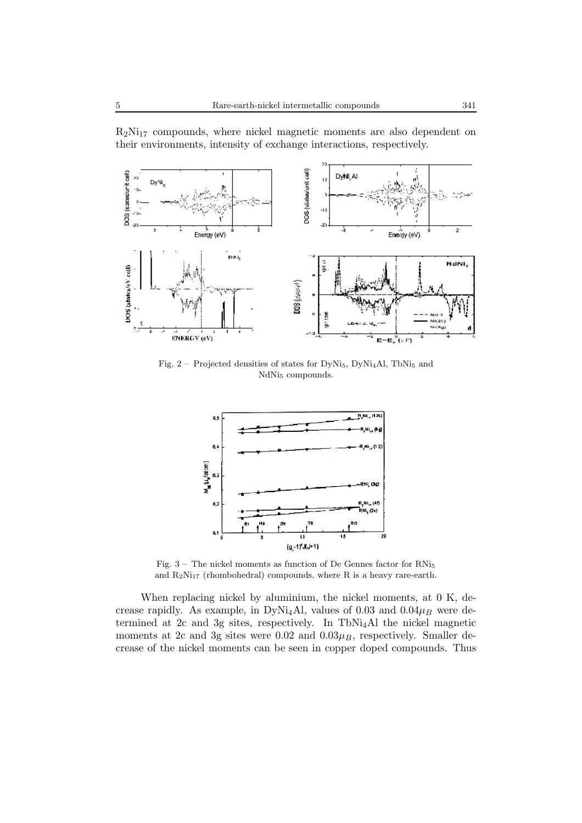

msi.

 $R_2Ni_{17}$  compounds, where nickel magnetic moments are also dependent on their environments, intensity of exchange interactions, respectively.

 $DOS$  (ctarger) **NCI** NI(ZC)<br>Ni(Xy) ENERGY (eV)  $E-E_r^0(\cdot V)$ 

Fig.  $2$  – Projected densities of states for DyNi<sub>5</sub>, DyNi<sub>4</sub>Al, TbNi<sub>5</sub> and NdN<sub>i<sub>5</sub></sub> compounds.



Fig. 3 – The nickel moments as function of De Gennes factor for RNi<sup>5</sup> and  $R_2Ni_{17}$  (rhombohedral) compounds, where R is a heavy rare-earth.

When replacing nickel by aluminium, the nickel moments, at 0 K, decrease rapidly. As example, in DyNi<sub>4</sub>Al, values of  $0.03$  and  $0.04\mu$ <sub>B</sub> were determined at 2c and 3g sites, respectively. In TbNi4Al the nickel magnetic moments at 2c and 3g sites were  $0.02$  and  $0.03\mu$ <sub>*B*</sub>, respectively. Smaller decrease of the nickel moments can be seen in copper doped compounds. Thus

NdNI,

DOS (states/eV cell)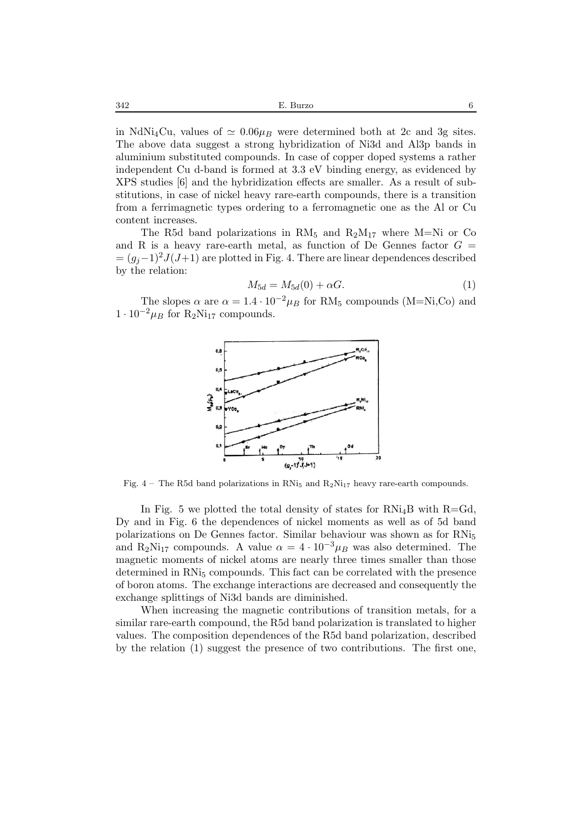in NdNi<sub>4</sub>Cu, values of  $\simeq 0.06\mu$ <sub>B</sub> were determined both at 2c and 3g sites. The above data suggest a strong hybridization of Ni3d and Al3p bands in aluminium substituted compounds. In case of copper doped systems a rather independent Cu d-band is formed at 3.3 eV binding energy, as evidenced by XPS studies [6] and the hybridization effects are smaller. As a result of substitutions, in case of nickel heavy rare-earth compounds, there is a transition from a ferrimagnetic types ordering to a ferromagnetic one as the Al or Cu content increases.

The R5d band polarizations in  $RM_5$  and  $R_2M_{17}$  where M=Ni or Co and R is a heavy rare-earth metal, as function of De Gennes factor  $G =$  $=(g_i-1)^2J(J+1)$  are plotted in Fig. 4. There are linear dependences described by the relation:

$$
M_{5d} = M_{5d}(0) + \alpha G.
$$
 (1)

The slopes  $\alpha$  are  $\alpha = 1.4 \cdot 10^{-2} \mu_B$  for RM<sub>5</sub> compounds (M=Ni,Co) and  $1 \cdot 10^{-2} \mu_B$  for R<sub>2</sub>Ni<sub>17</sub> compounds.



Fig. 4 – The R5d band polarizations in RNi<sub>5</sub> and  $R_2Ni_{17}$  heavy rare-earth compounds.

In Fig. 5 we plotted the total density of states for  $RNi_4B$  with  $R=Gd$ , Dy and in Fig. 6 the dependences of nickel moments as well as of 5d band polarizations on De Gennes factor. Similar behaviour was shown as for RNi<sup>5</sup> and R<sub>2</sub>Ni<sub>17</sub> compounds. A value  $\alpha = 4 \cdot 10^{-3} \mu_B$  was also determined. The magnetic moments of nickel atoms are nearly three times smaller than those determined in  $RN<sub>5</sub>$  compounds. This fact can be correlated with the presence of boron atoms. The exchange interactions are decreased and consequently the exchange splittings of Ni3d bands are diminished.

When increasing the magnetic contributions of transition metals, for a similar rare-earth compound, the R5d band polarization is translated to higher values. The composition dependences of the R5d band polarization, described by the relation (1) suggest the presence of two contributions. The first one,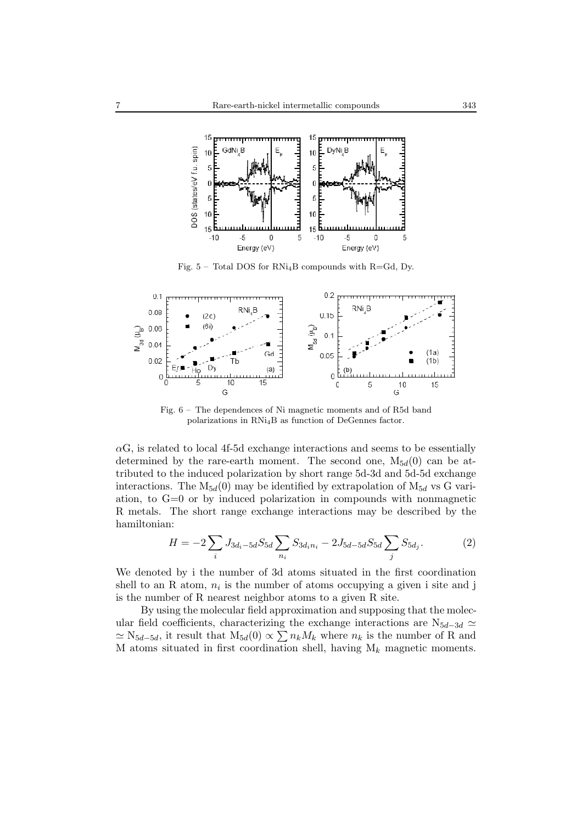

Fig.  $5$  – Total DOS for RNi<sub>4</sub>B compounds with R=Gd, Dy.



Fig. 6 – The dependences of Ni magnetic moments and of R5d band polarizations in RNi4B as function of DeGennes factor.

 $\alpha$ G, is related to local 4f-5d exchange interactions and seems to be essentially determined by the rare-earth moment. The second one,  $M_{5d}(0)$  can be attributed to the induced polarization by short range 5d-3d and 5d-5d exchange interactions. The  $M_{5d}(0)$  may be identified by extrapolation of  $M_{5d}$  vs G variation, to G=0 or by induced polarization in compounds with nonmagnetic R metals. The short range exchange interactions may be described by the hamiltonian:

$$
H = -2\sum_{i} J_{3d_i - 5d} S_{5d} \sum_{n_i} S_{3d_i n_i} - 2J_{5d - 5d} S_{5d} \sum_{j} S_{5d_j}.
$$
 (2)

We denoted by i the number of 3d atoms situated in the first coordination shell to an R atom,  $n_i$  is the number of atoms occupying a given i site and j is the number of R nearest neighbor atoms to a given R site.

By using the molecular field approximation and supposing that the molecular field coefficients, characterizing the exchange interactions are  $N_{5d-3d} \simeq$  $\simeq$  N<sub>5*d*−5*d*</sub>, it result that M<sub>5*d*</sub>(0)  $\propto$   $\sum n_k M_k$  where  $n_k$  is the number of R and M atoms situated in first coordination shell, having M*k* magnetic moments.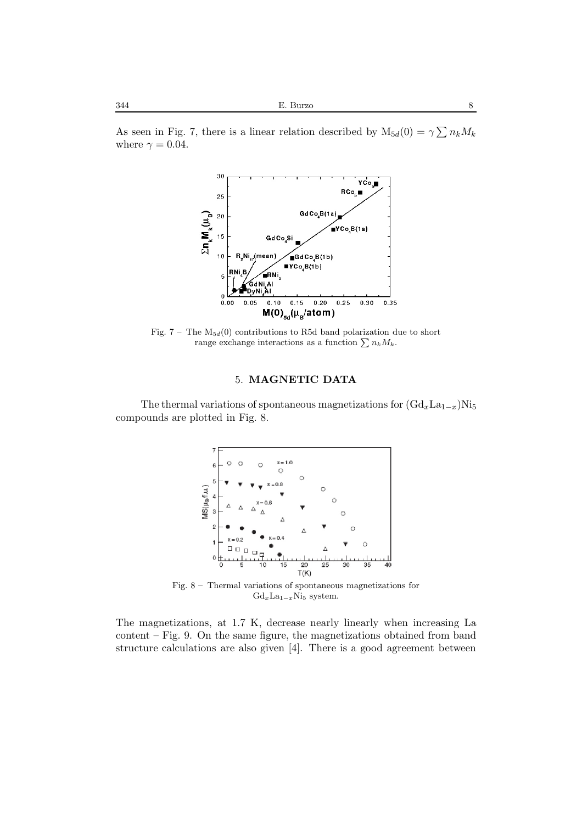As seen in Fig. 7, there is a linear relation described by  $M_{5d}(0) = \gamma \sum n_k M_k$ where  $\gamma = 0.04$ .



Fig.  $7$  – The  $M_{5d}(0)$  contributions to R5d band polarization due to short range exchange interactions as a function  $\sum n_k M_k$ .

### 5. **MAGNETIC DATA**

The thermal variations of spontaneous magnetizations for  $(\text{Gd}_x \text{La}_{1-x})$ Ni<sub>5</sub> compounds are plotted in Fig. 8.



Fig. 8 – Thermal variations of spontaneous magnetizations for Gd*x*La<sup>1</sup>*−<sup>x</sup>*Ni<sup>5</sup> system.

The magnetizations, at 1.7 K, decrease nearly linearly when increasing La content – Fig. 9. On the same figure, the magnetizations obtained from band structure calculations are also given [4]. There is a good agreement between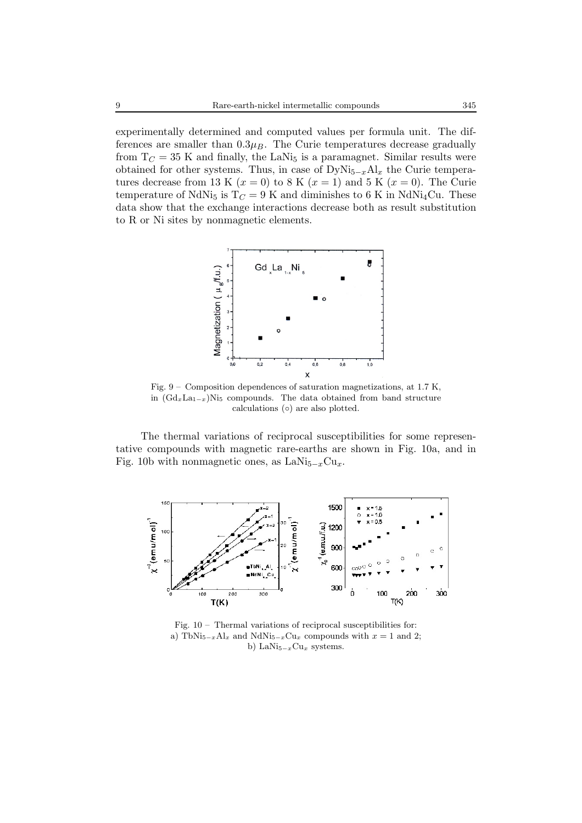experimentally determined and computed values per formula unit. The differences are smaller than  $0.3\mu$ <sub>*B*</sub>. The Curie temperatures decrease gradually from  $T_C = 35$  K and finally, the LaNi<sub>5</sub> is a paramagnet. Similar results were obtained for other systems. Thus, in case of  $DyNi_{5-x}Al_x$  the Curie temperatures decrease from 13 K  $(x = 0)$  to 8 K  $(x = 1)$  and 5 K  $(x = 0)$ . The Curie temperature of NdNi<sub>5</sub> is  $T_C = 9$  K and diminishes to 6 K in NdNi<sub>4</sub>Cu. These data show that the exchange interactions decrease both as result substitution to R or Ni sites by nonmagnetic elements.



Fig. 9 – Composition dependences of saturation magnetizations, at 1.7 K, in (Gd*x*La<sup>1</sup>*−<sup>x</sup>*)Ni<sup>5</sup> compounds. The data obtained from band structure calculations (◦) are also plotted.

The thermal variations of reciprocal susceptibilities for some representative compounds with magnetic rare-earths are shown in Fig. 10a, and in Fig. 10b with nonmagnetic ones, as LaNi5−*x*Cu*x*.



Fig. 10 – Thermal variations of reciprocal susceptibilities for: a) TbNi<sub>5</sub><sup> $-x$ Al<sub>x</sub></sub> and NdNi<sub>5</sub><sup> $-x$ Cu</sup><sub>x</sub> compounds with  $x = 1$  and 2;</sup> b) LaNi<sup>5</sup>*−<sup>x</sup>*Cu*<sup>x</sup>* systems.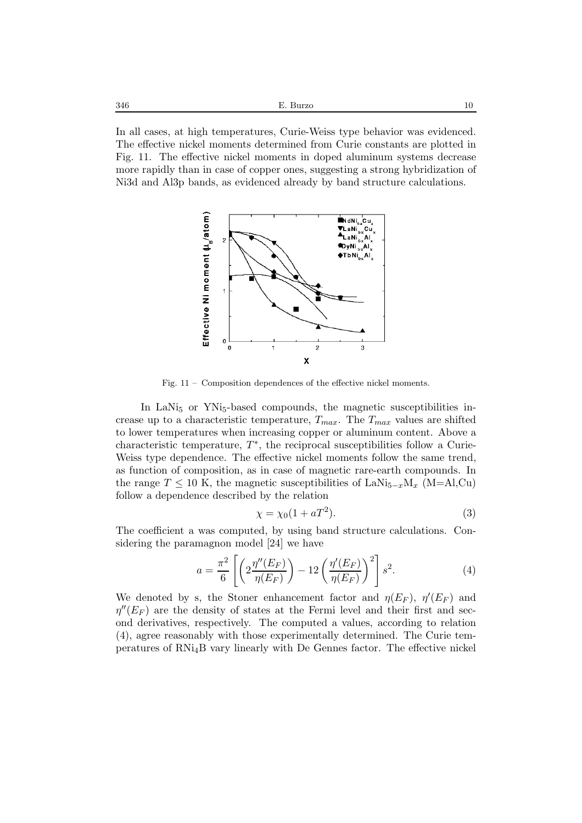In all cases, at high temperatures, Curie-Weiss type behavior was evidenced. The effective nickel moments determined from Curie constants are plotted in Fig. 11. The effective nickel moments in doped aluminum systems decrease more rapidly than in case of copper ones, suggesting a strong hybridization of Ni3d and Al3p bands, as evidenced already by band structure calculations.



Fig. 11 – Composition dependences of the effective nickel moments.

In LaNi<sub>5</sub> or YNi<sub>5</sub>-based compounds, the magnetic susceptibilities increase up to a characteristic temperature, T*max*. The T*max* values are shifted to lower temperatures when increasing copper or aluminum content. Above a characteristic temperature,  $T^*$ , the reciprocal susceptibilities follow a Curie-Weiss type dependence. The effective nickel moments follow the same trend, as function of composition, as in case of magnetic rare-earth compounds. In the range  $T \leq 10$  K, the magnetic susceptibilities of LaNi<sub>5−*x*</sub>M<sub>*x*</sub> (M=Al,Cu) follow a dependence described by the relation

$$
\chi = \chi_0 (1 + aT^2). \tag{3}
$$

The coefficient a was computed, by using band structure calculations. Considering the paramagnon model [24] we have

$$
a = \frac{\pi^2}{6} \left[ \left( 2 \frac{\eta''(E_F)}{\eta(E_F)} \right) - 12 \left( \frac{\eta'(E_F)}{\eta(E_F)} \right)^2 \right] s^2.
$$
 (4)

We denoted by s, the Stoner enhancement factor and  $\eta(E_F)$ ,  $\eta'(E_F)$  and  $\eta''(E_F)$  are the density of states at the Fermi level and their first and second derivatives, respectively. The computed a values, according to relation (4), agree reasonably with those experimentally determined. The Curie temperatures of RNi4B vary linearly with De Gennes factor. The effective nickel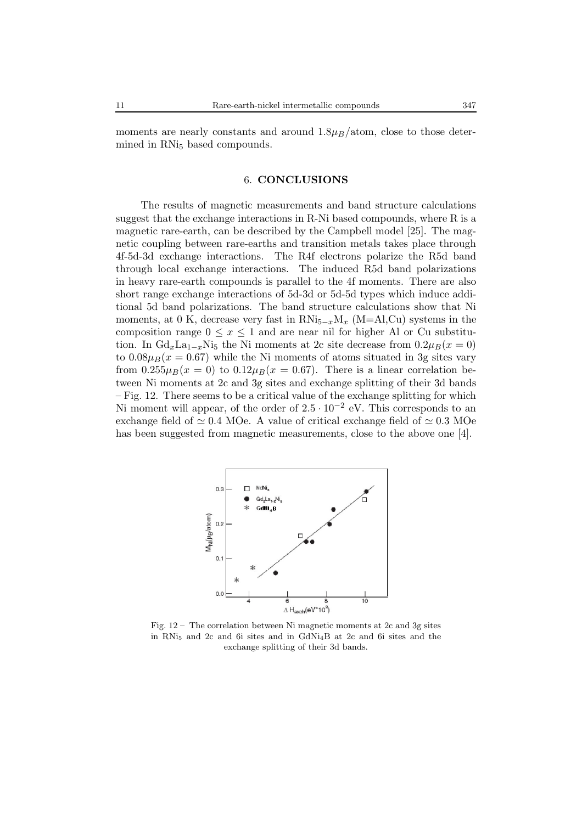moments are nearly constants and around  $1.8\mu$ <sub>*B*</sub>/atom, close to those determined in RNi<sub>5</sub> based compounds.

#### 6. **CONCLUSIONS**

The results of magnetic measurements and band structure calculations suggest that the exchange interactions in R-Ni based compounds, where R is a magnetic rare-earth, can be described by the Campbell model [25]. The magnetic coupling between rare-earths and transition metals takes place through 4f-5d-3d exchange interactions. The R4f electrons polarize the R5d band through local exchange interactions. The induced R5d band polarizations in heavy rare-earth compounds is parallel to the 4f moments. There are also short range exchange interactions of 5d-3d or 5d-5d types which induce additional 5d band polarizations. The band structure calculations show that Ni moments, at 0 K, decrease very fast in RNi<sub>5−*x*</sub>M<sub>*x*</sub> (M=Al,Cu) systems in the composition range  $0 \leq x \leq 1$  and are near nil for higher Al or Cu substitution. In  $Gd_x L a_{1-x} N i_5$  the Ni moments at 2c site decrease from  $0.2 \mu_B(x=0)$ to  $0.08\mu_B(x=0.67)$  while the Ni moments of atoms situated in 3g sites vary from  $0.255\mu_B(x=0)$  to  $0.12\mu_B(x=0.67)$ . There is a linear correlation between Ni moments at 2c and 3g sites and exchange splitting of their 3d bands – Fig. 12. There seems to be a critical value of the exchange splitting for which Ni moment will appear, of the order of  $2.5 \cdot 10^{-2}$  eV. This corresponds to an exchange field of  $\simeq 0.4$  MOe. A value of critical exchange field of  $\simeq 0.3$  MOe has been suggested from magnetic measurements, close to the above one [4].



Fig. 12 – The correlation between Ni magnetic moments at 2c and 3g sites in RNi<sup>5</sup> and 2c and 6i sites and in GdNi4B at 2c and 6i sites and the exchange splitting of their 3d bands.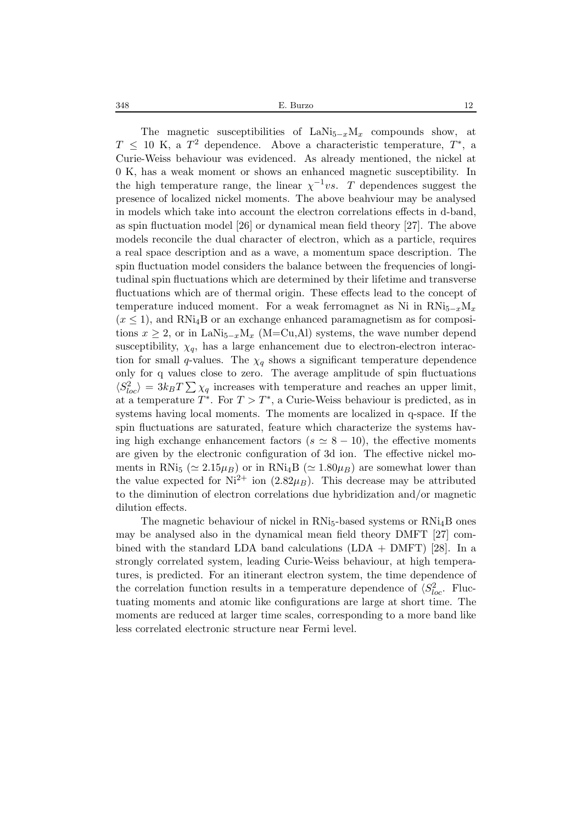The magnetic susceptibilities of LaNi $_{5-x}$ M<sub>x</sub> compounds show, at  $T \leq 10$  K, a  $T^2$  dependence. Above a characteristic temperature,  $T^*$ , a Curie-Weiss behaviour was evidenced. As already mentioned, the nickel at 0 K, has a weak moment or shows an enhanced magnetic susceptibility. In the high temperature range, the linear  $\chi^{-1}vs$ . T dependences suggest the presence of localized nickel moments. The above beahviour may be analysed in models which take into account the electron correlations effects in d-band, as spin fluctuation model [26] or dynamical mean field theory [27]. The above models reconcile the dual character of electron, which as a particle, requires a real space description and as a wave, a momentum space description. The spin fluctuation model considers the balance between the frequencies of longitudinal spin fluctuations which are determined by their lifetime and transverse fluctuations which are of thermal origin. These effects lead to the concept of temperature induced moment. For a weak ferromagnet as Ni in  $RNi_{5-r}M_r$  $(x \leq 1)$ , and RNi<sub>4</sub>B or an exchange enhanced paramagnetism as for compositions  $x \geq 2$ , or in LaNi<sub>5−*x*</sub>M<sub>*x*</sub> (M=Cu,Al) systems, the wave number depend susceptibility,  $\chi_q$ , has a large enhancement due to electron-electron interaction for small q-values. The  $\chi_q$  shows a significant temperature dependence only for q values close to zero. The average amplitude of spin fluctuations  $\langle S_{loc}^2 \rangle = 3k_B T \sum \chi_q$  increases with temperature and reaches an upper limit, at a temperature  $T^*$ . For  $T > T^*$ , a Curie-Weiss behaviour is predicted, as in systems having local moments. The moments are localized in q-space. If the spin fluctuations are saturated, feature which characterize the systems having high exchange enhancement factors ( $s \approx 8 - 10$ ), the effective moments are given by the electronic configuration of 3d ion. The effective nickel moments in RNi<sub>5</sub> ( $\simeq 2.15 \mu_B$ ) or in RNi<sub>4</sub>B ( $\simeq 1.80 \mu_B$ ) are somewhat lower than the value expected for  $Ni^{2+}$  ion  $(2.82\mu_B)$ . This decrease may be attributed to the diminution of electron correlations due hybridization and/or magnetic dilution effects.

The magnetic behaviour of nickel in  $RNi<sub>5</sub>$ -based systems or  $RNi<sub>4</sub>B$  ones may be analysed also in the dynamical mean field theory DMFT [27] combined with the standard LDA band calculations  $(LDA + DMFT)$  [28]. In a strongly correlated system, leading Curie-Weiss behaviour, at high temperatures, is predicted. For an itinerant electron system, the time dependence of the correlation function results in a temperature dependence of  $\langle S_{loc}^2$ . Fluctuating moments and atomic like configurations are large at short time. The moments are reduced at larger time scales, corresponding to a more band like less correlated electronic structure near Fermi level.